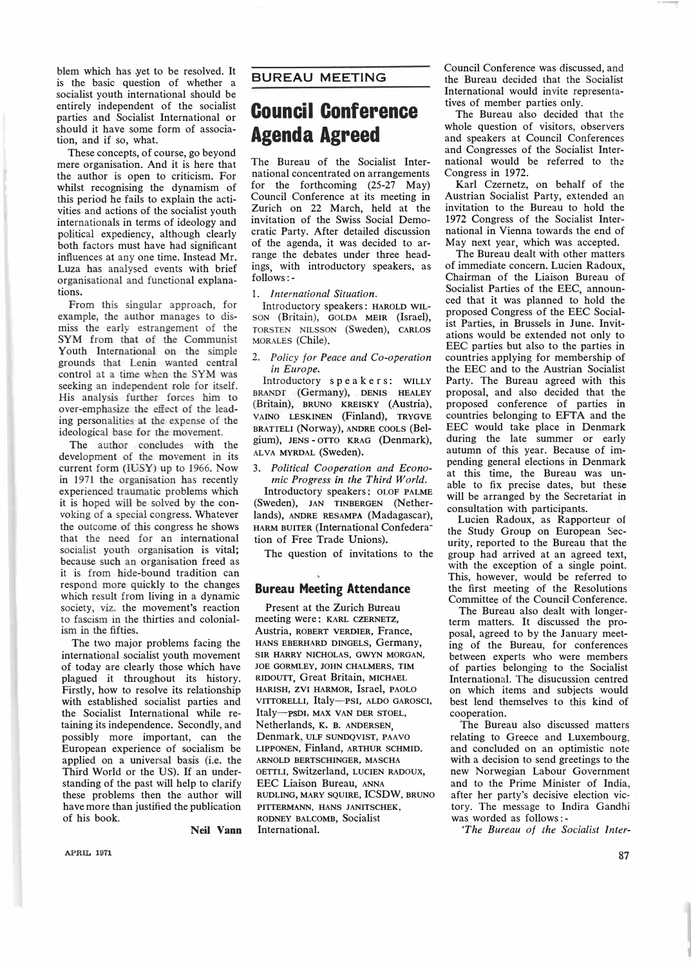## **BUREAU MEETING**

## **Council Conference Agenda Agreed**

The Bureau of the Socialist International concentrated on arrangements for the forthcoming (25-27 May) Council Conference at its meeting in Zurich on 22 March, held at the invitation of the Swiss Social Democratic Party. After detailed discussion of the agenda, it was decided to arrange the debates under three headings, with introductory speakers, as follows:-

1. *International Situation.*

Introductory speakers: HAROLD WIL-SON (Britain), GOLDA MEIR (Israel), TORSTEN NILSSON (Sweden), CARLOS MORALES (Chile).

2. *Policy for Peace and Co-operation in Europe.*

Introductory speakers: WILLY BRANDT (Germany), DENIS HEALEY (Britain), BRUNO KREISKY (Austria), VAINO LESKINEN (Finland), TRYGVE BRATTELI (Norway), ANDRE COOLS (Belgium), JENS - OTTO KRAG (Denmark), **ALVA MYRDAL (Sweden).** 

3. *Political Cooperation and Economic Progress in the Third World.*

Introductory speakers: OLOF PALME (Sweden), JAN TINBERGEN (Netherlands), ANDRE RESAMPA (Madagascar), HARM BUITER (International Confederation of Free Trade Unions).

The question of invitations to the

## **Bureau Meeting Attendance**

Present at the Zurich Bureau meeting were: KARL CZERNETZ, Austria, ROBERT VERDIER, France, HANS EBERHARD DINGELS, Germany, SIR HARRY NICHOLAS, GWYN MORGAN, JOE GORMLEY, JOHN CHALMERS, TIM RIDOUTT, Great Britain, MICHAEL HARISH, ZVI HARMOR, Israel, PAOLO VIITORELLI, Italy-PSI, ALDO GAROSCI, ltaly-psDJ, MAX VAN DER STOEL, Netherlands, K. B. ANDERSEN, Denmark, ULF SUNDQVIST, PAAVO LIPPONEN, Finland, ARTHUR SCHMID. ARNOLD BERTSCHINGER, MASCHA OETTLI, Switzerland, LUCIEN RADOUX, EEC Liaison Bureau, ANNA RUDLING, MARY SQUIRE, ICSDW, BRUNO PITTERMANN, HANS JANITSCHEK, RODNEY BALCOMB, Socialist International.

Council Conference was discussed, and the Bureau decided that the Socialist International would invite representatives of member parties only.

The Bureau also decided that the whole question of visitors, observers and speakers at Council Conferences and Congresses of the Socialist International would be referred to the Congress in 1972.

Karl Czernetz, on behalf of the Austrian Socialist Party, extended an invitation to the Bureau to hold the 1972 Congress of the Socialist International in Vienna towards the end of May next year, which was accepted.

The Bureau dealt with other matters of immediate concern. Lucien Radoux, Chairman of the Liaison Bureau of Socialist Parties of the EEC, announced that it was planned to hold the proposed Congress of the EEC Socialist Parties, in Brussels in June. Invitations would be extended not only to EEC parties but also to the parties in countries applying for membership of the EEC and to the Austrian Socialist Party. The Bureau agreed with this proposal, and also decided that the proposed conference of parties in countries belonging to EFTA and the EEC would take place in Denmark during the late summer or early autumn of this year. Because of impending general elections in Denmark at this time, the Bureau was unable to fix precise dates, but these will be arranged by the Secretariat in consultation with participants.

Lucien Radoux, as Rapporteur of the Study Group on European Security, reported to the Bureau that the group had arrived at an agreed text, with the exception of a single point. This, however, would be referred to the first meeting of the Resolutions Committee of the Council Conference.

The Bureau also dealt with longerterm matters. It discussed the proposal, agreed to by the January meeting of the Bureau, for conferences between experts who were members of parties belonging to the Socialist International. The disucussion centred on which items and subjects would best lend themselves to this kind of cooperation.

The Bureau also discussed matters relating to Greece and Luxembourg, and concluded on an optimistic note with a decision to send greetings to the new Norwegian Labour Government and to the Prime Minister of India, after her party's decisive election victory. The message to Indira Gandhi was worded as follows: -

*'The Bureau of the Socialist Inter-*